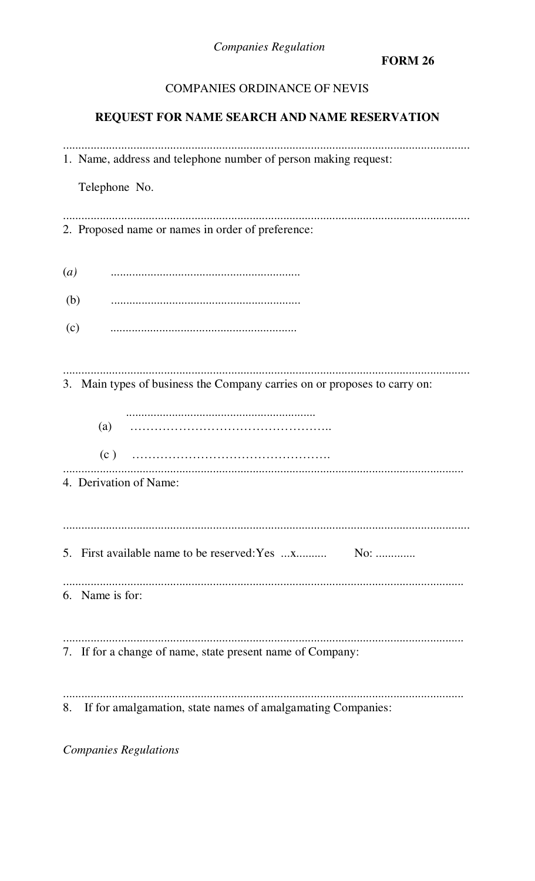**Companies Regulation** 

**FORM 26** 

# COMPANIES ORDINANCE OF NEVIS

# REQUEST FOR NAME SEARCH AND NAME RESERVATION

|     | 1. Name, address and telephone number of person making request:           |
|-----|---------------------------------------------------------------------------|
|     | Telephone No.                                                             |
|     | 2. Proposed name or names in order of preference:                         |
| (a) |                                                                           |
| (b) |                                                                           |
| (c) |                                                                           |
|     | 3. Main types of business the Company carries on or proposes to carry on: |
|     | (a)                                                                       |
|     |                                                                           |
|     | 4. Derivation of Name:                                                    |
|     |                                                                           |
|     | 6. Name is for:                                                           |
|     | 7. If for a change of name, state present name of Company:                |
|     | 8. If for amalgamation, state names of amalgamating Companies:            |

**Companies Regulations**